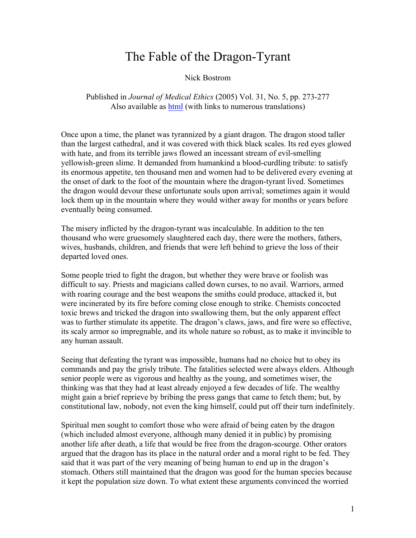## The Fable of the Dragon-Tyrant

## Nick Bostrom

Published in *Journal of Medical Ethics* (2005) Vol. 31, No. 5, pp. 273-277 Also available as [html](https://www.nickbostrom.com/fable/dragon.html) (with links to numerous translations)

Once upon a time, the planet was tyrannized by a giant dragon. The dragon stood taller than the largest cathedral, and it was covered with thick black scales. Its red eyes glowed with hate, and from its terrible jaws flowed an incessant stream of evil-smelling yellowish-green slime. It demanded from humankind a blood-curdling tribute: to satisfy its enormous appetite, ten thousand men and women had to be delivered every evening at the onset of dark to the foot of the mountain where the dragon-tyrant lived. Sometimes the dragon would devour these unfortunate souls upon arrival; sometimes again it would lock them up in the mountain where they would wither away for months or years before eventually being consumed.

The misery inflicted by the dragon-tyrant was incalculable. In addition to the ten thousand who were gruesomely slaughtered each day, there were the mothers, fathers, wives, husbands, children, and friends that were left behind to grieve the loss of their departed loved ones.

Some people tried to fight the dragon, but whether they were brave or foolish was difficult to say. Priests and magicians called down curses, to no avail. Warriors, armed with roaring courage and the best weapons the smiths could produce, attacked it, but were incinerated by its fire before coming close enough to strike. Chemists concocted toxic brews and tricked the dragon into swallowing them, but the only apparent effect was to further stimulate its appetite. The dragon's claws, jaws, and fire were so effective, its scaly armor so impregnable, and its whole nature so robust, as to make it invincible to any human assault.

Seeing that defeating the tyrant was impossible, humans had no choice but to obey its commands and pay the grisly tribute. The fatalities selected were always elders. Although senior people were as vigorous and healthy as the young, and sometimes wiser, the thinking was that they had at least already enjoyed a few decades of life. The wealthy might gain a brief reprieve by bribing the press gangs that came to fetch them; but, by constitutional law, nobody, not even the king himself, could put off their turn indefinitely.

Spiritual men sought to comfort those who were afraid of being eaten by the dragon (which included almost everyone, although many denied it in public) by promising another life after death, a life that would be free from the dragon-scourge. Other orators argued that the dragon has its place in the natural order and a moral right to be fed. They said that it was part of the very meaning of being human to end up in the dragon's stomach. Others still maintained that the dragon was good for the human species because it kept the population size down. To what extent these arguments convinced the worried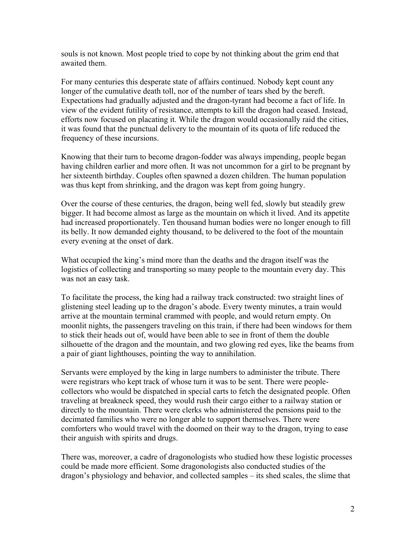souls is not known. Most people tried to cope by not thinking about the grim end that awaited them.

For many centuries this desperate state of affairs continued. Nobody kept count any longer of the cumulative death toll, nor of the number of tears shed by the bereft. Expectations had gradually adjusted and the dragon-tyrant had become a fact of life. In view of the evident futility of resistance, attempts to kill the dragon had ceased. Instead, efforts now focused on placating it. While the dragon would occasionally raid the cities, it was found that the punctual delivery to the mountain of its quota of life reduced the frequency of these incursions.

Knowing that their turn to become dragon-fodder was always impending, people began having children earlier and more often. It was not uncommon for a girl to be pregnant by her sixteenth birthday. Couples often spawned a dozen children. The human population was thus kept from shrinking, and the dragon was kept from going hungry.

Over the course of these centuries, the dragon, being well fed, slowly but steadily grew bigger. It had become almost as large as the mountain on which it lived. And its appetite had increased proportionately. Ten thousand human bodies were no longer enough to fill its belly. It now demanded eighty thousand, to be delivered to the foot of the mountain every evening at the onset of dark.

What occupied the king's mind more than the deaths and the dragon itself was the logistics of collecting and transporting so many people to the mountain every day. This was not an easy task.

To facilitate the process, the king had a railway track constructed: two straight lines of glistening steel leading up to the dragon's abode. Every twenty minutes, a train would arrive at the mountain terminal crammed with people, and would return empty. On moonlit nights, the passengers traveling on this train, if there had been windows for them to stick their heads out of, would have been able to see in front of them the double silhouette of the dragon and the mountain, and two glowing red eyes, like the beams from a pair of giant lighthouses, pointing the way to annihilation.

Servants were employed by the king in large numbers to administer the tribute. There were registrars who kept track of whose turn it was to be sent. There were peoplecollectors who would be dispatched in special carts to fetch the designated people. Often traveling at breakneck speed, they would rush their cargo either to a railway station or directly to the mountain. There were clerks who administered the pensions paid to the decimated families who were no longer able to support themselves. There were comforters who would travel with the doomed on their way to the dragon, trying to ease their anguish with spirits and drugs.

There was, moreover, a cadre of dragonologists who studied how these logistic processes could be made more efficient. Some dragonologists also conducted studies of the dragon's physiology and behavior, and collected samples – its shed scales, the slime that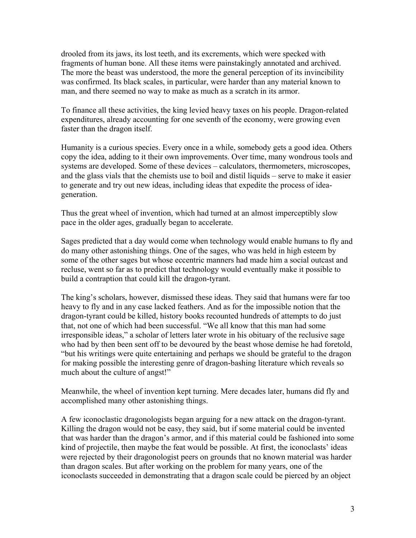drooled from its jaws, its lost teeth, and its excrements, which were specked with fragments of human bone. All these items were painstakingly annotated and archived. The more the beast was understood, the more the general perception of its invincibility was confirmed. Its black scales, in particular, were harder than any material known to man, and there seemed no way to make as much as a scratch in its armor.

To finance all these activities, the king levied heavy taxes on his people. Dragon-related expenditures, already accounting for one seventh of the economy, were growing even faster than the dragon itself.

Humanity is a curious species. Every once in a while, somebody gets a good idea. Others copy the idea, adding to it their own improvements. Over time, many wondrous tools and systems are developed. Some of these devices – calculators, thermometers, microscopes, and the glass vials that the chemists use to boil and distil liquids – serve to make it easier to generate and try out new ideas, including ideas that expedite the process of ideageneration.

Thus the great wheel of invention, which had turned at an almost imperceptibly slow pace in the older ages, gradually began to accelerate.

Sages predicted that a day would come when technology would enable humans to fly and do many other astonishing things. One of the sages, who was held in high esteem by some of the other sages but whose eccentric manners had made him a social outcast and recluse, went so far as to predict that technology would eventually make it possible to build a contraption that could kill the dragon-tyrant.

The king's scholars, however, dismissed these ideas. They said that humans were far too heavy to fly and in any case lacked feathers. And as for the impossible notion that the dragon-tyrant could be killed, history books recounted hundreds of attempts to do just that, not one of which had been successful. "We all know that this man had some irresponsible ideas," a scholar of letters later wrote in his obituary of the reclusive sage who had by then been sent off to be devoured by the beast whose demise he had foretold, "but his writings were quite entertaining and perhaps we should be grateful to the dragon for making possible the interesting genre of dragon-bashing literature which reveals so much about the culture of angst!"

Meanwhile, the wheel of invention kept turning. Mere decades later, humans did fly and accomplished many other astonishing things.

A few iconoclastic dragonologists began arguing for a new attack on the dragon-tyrant. Killing the dragon would not be easy, they said, but if some material could be invented that was harder than the dragon's armor, and if this material could be fashioned into some kind of projectile, then maybe the feat would be possible. At first, the iconoclasts' ideas were rejected by their dragonologist peers on grounds that no known material was harder than dragon scales. But after working on the problem for many years, one of the iconoclasts succeeded in demonstrating that a dragon scale could be pierced by an object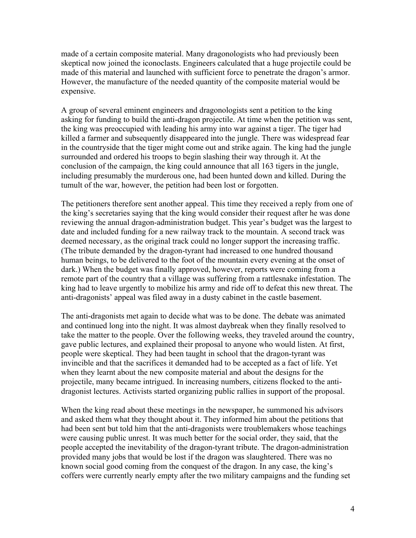made of a certain composite material. Many dragonologists who had previously been skeptical now joined the iconoclasts. Engineers calculated that a huge projectile could be made of this material and launched with sufficient force to penetrate the dragon's armor. However, the manufacture of the needed quantity of the composite material would be expensive.

A group of several eminent engineers and dragonologists sent a petition to the king asking for funding to build the anti-dragon projectile. At time when the petition was sent, the king was preoccupied with leading his army into war against a tiger. The tiger had killed a farmer and subsequently disappeared into the jungle. There was widespread fear in the countryside that the tiger might come out and strike again. The king had the jungle surrounded and ordered his troops to begin slashing their way through it. At the conclusion of the campaign, the king could announce that all 163 tigers in the jungle, including presumably the murderous one, had been hunted down and killed. During the tumult of the war, however, the petition had been lost or forgotten.

The petitioners therefore sent another appeal. This time they received a reply from one of the king's secretaries saying that the king would consider their request after he was done reviewing the annual dragon-administration budget. This year's budget was the largest to date and included funding for a new railway track to the mountain. A second track was deemed necessary, as the original track could no longer support the increasing traffic. (The tribute demanded by the dragon-tyrant had increased to one hundred thousand human beings, to be delivered to the foot of the mountain every evening at the onset of dark.) When the budget was finally approved, however, reports were coming from a remote part of the country that a village was suffering from a rattlesnake infestation. The king had to leave urgently to mobilize his army and ride off to defeat this new threat. The anti-dragonists' appeal was filed away in a dusty cabinet in the castle basement.

The anti-dragonists met again to decide what was to be done. The debate was animated and continued long into the night. It was almost daybreak when they finally resolved to take the matter to the people. Over the following weeks, they traveled around the country, gave public lectures, and explained their proposal to anyone who would listen. At first, people were skeptical. They had been taught in school that the dragon-tyrant was invincible and that the sacrifices it demanded had to be accepted as a fact of life. Yet when they learnt about the new composite material and about the designs for the projectile, many became intrigued. In increasing numbers, citizens flocked to the antidragonist lectures. Activists started organizing public rallies in support of the proposal.

When the king read about these meetings in the newspaper, he summoned his advisors and asked them what they thought about it. They informed him about the petitions that had been sent but told him that the anti-dragonists were troublemakers whose teachings were causing public unrest. It was much better for the social order, they said, that the people accepted the inevitability of the dragon-tyrant tribute. The dragon-administration provided many jobs that would be lost if the dragon was slaughtered. There was no known social good coming from the conquest of the dragon. In any case, the king's coffers were currently nearly empty after the two military campaigns and the funding set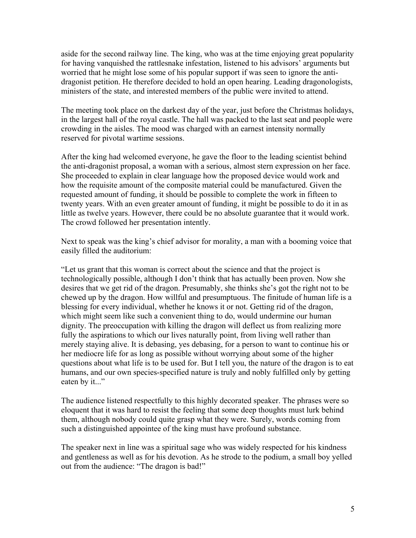aside for the second railway line. The king, who was at the time enjoying great popularity for having vanquished the rattlesnake infestation, listened to his advisors' arguments but worried that he might lose some of his popular support if was seen to ignore the antidragonist petition. He therefore decided to hold an open hearing. Leading dragonologists, ministers of the state, and interested members of the public were invited to attend.

The meeting took place on the darkest day of the year, just before the Christmas holidays, in the largest hall of the royal castle. The hall was packed to the last seat and people were crowding in the aisles. The mood was charged with an earnest intensity normally reserved for pivotal wartime sessions.

After the king had welcomed everyone, he gave the floor to the leading scientist behind the anti-dragonist proposal, a woman with a serious, almost stern expression on her face. She proceeded to explain in clear language how the proposed device would work and how the requisite amount of the composite material could be manufactured. Given the requested amount of funding, it should be possible to complete the work in fifteen to twenty years. With an even greater amount of funding, it might be possible to do it in as little as twelve years. However, there could be no absolute guarantee that it would work. The crowd followed her presentation intently.

Next to speak was the king's chief advisor for morality, a man with a booming voice that easily filled the auditorium:

"Let us grant that this woman is correct about the science and that the project is technologically possible, although I don't think that has actually been proven. Now she desires that we get rid of the dragon. Presumably, she thinks she's got the right not to be chewed up by the dragon. How willful and presumptuous. The finitude of human life is a blessing for every individual, whether he knows it or not. Getting rid of the dragon, which might seem like such a convenient thing to do, would undermine our human dignity. The preoccupation with killing the dragon will deflect us from realizing more fully the aspirations to which our lives naturally point, from living well rather than merely staying alive. It is debasing, yes debasing, for a person to want to continue his or her mediocre life for as long as possible without worrying about some of the higher questions about what life is to be used for. But I tell you, the nature of the dragon is to eat humans, and our own species-specified nature is truly and nobly fulfilled only by getting eaten by it..."

The audience listened respectfully to this highly decorated speaker. The phrases were so eloquent that it was hard to resist the feeling that some deep thoughts must lurk behind them, although nobody could quite grasp what they were. Surely, words coming from such a distinguished appointee of the king must have profound substance.

The speaker next in line was a spiritual sage who was widely respected for his kindness and gentleness as well as for his devotion. As he strode to the podium, a small boy yelled out from the audience: "The dragon is bad!"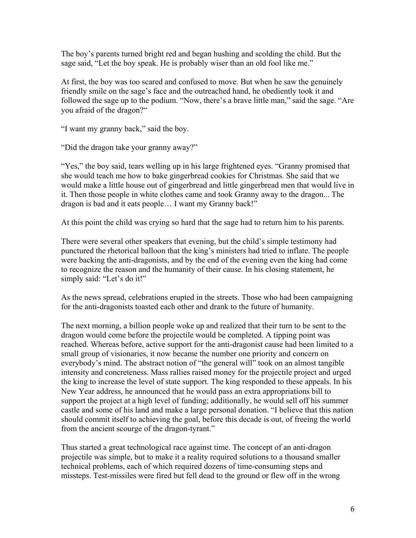The boy's parents turned bright red and began hushing and scolding the child. But the sage said, "Let the boy speak. He is probably wiser than an old fool like me."

At first, the boy was too scared and confused to move. But when he saw the genuinely friendly smile on the sage's face and the outreached hand, he obediently took it and followed the sage up to the podium. "Now, there's a brave little man," said the sage. "Are you afraid of the dragon?"

"I want my granny back," said the boy.

"Did the dragon take your granny away?"

"Yes," the boy said, tears welling up in his large frightened eyes. "Granny promised that she would teach me how to bake gingerbread cookies for Christmas. She said that we would make a little house out of gingerbread and little gingerbread men that would live in it. Then those people in white clothes came and took Granny away to the dragon... The dragon is bad and it eats people… I want my Granny back!"

At this point the child was crying so hard that the sage had to return him to his parents.

There were several other speakers that evening, but the child's simple testimony had punctured the rhetorical balloon that the king's ministers had tried to inflate. The people were backing the anti-dragonists, and by the end of the evening even the king had come to recognize the reason and the humanity of their cause. In his closing statement, he simply said: "Let's do it!"

As the news spread, celebrations erupted in the streets. Those who had been campaigning for the anti-dragonists toasted each other and drank to the future of humanity.

The next morning, a billion people woke up and realized that their turn to be sent to the dragon would come before the projectile would be completed. A tipping point was reached. Whereas before, active support for the anti-dragonist cause had been limited to a small group of visionaries, it now became the number one priority and concern on everybody's mind. The abstract notion of "the general will" took on an almost tangible intensity and concreteness. Mass rallies raised money for the projectile project and urged the king to increase the level of state support. The king responded to these appeals. In his New Year address, he announced that he would pass an extra appropriations bill to support the project at a high level of funding; additionally, he would sell off his summer castle and some of his land and make a large personal donation. "I believe that this nation should commit itself to achieving the goal, before this decade is out, of freeing the world from the ancient scourge of the dragon-tyrant."

Thus started a great technological race against time. The concept of an anti-dragon projectile was simple, but to make it a reality required solutions to a thousand smaller technical problems, each of which required dozens of time-consuming steps and missteps. Test-missiles were fired but fell dead to the ground or flew off in the wrong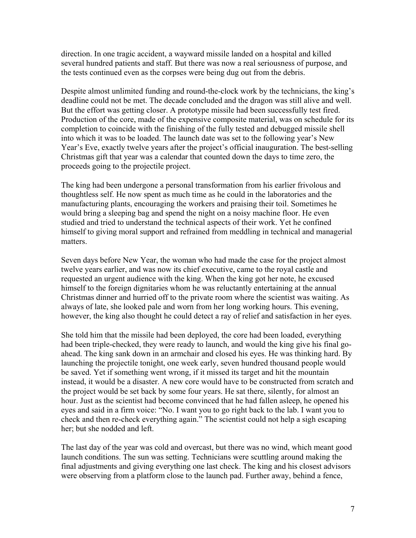direction. In one tragic accident, a wayward missile landed on a hospital and killed several hundred patients and staff. But there was now a real seriousness of purpose, and the tests continued even as the corpses were being dug out from the debris.

Despite almost unlimited funding and round-the-clock work by the technicians, the king's deadline could not be met. The decade concluded and the dragon was still alive and well. But the effort was getting closer. A prototype missile had been successfully test fired. Production of the core, made of the expensive composite material, was on schedule for its completion to coincide with the finishing of the fully tested and debugged missile shell into which it was to be loaded. The launch date was set to the following year's New Year's Eve, exactly twelve years after the project's official inauguration. The best-selling Christmas gift that year was a calendar that counted down the days to time zero, the proceeds going to the projectile project.

The king had been undergone a personal transformation from his earlier frivolous and thoughtless self. He now spent as much time as he could in the laboratories and the manufacturing plants, encouraging the workers and praising their toil. Sometimes he would bring a sleeping bag and spend the night on a noisy machine floor. He even studied and tried to understand the technical aspects of their work. Yet he confined himself to giving moral support and refrained from meddling in technical and managerial matters.

Seven days before New Year, the woman who had made the case for the project almost twelve years earlier, and was now its chief executive, came to the royal castle and requested an urgent audience with the king. When the king got her note, he excused himself to the foreign dignitaries whom he was reluctantly entertaining at the annual Christmas dinner and hurried off to the private room where the scientist was waiting. As always of late, she looked pale and worn from her long working hours. This evening, however, the king also thought he could detect a ray of relief and satisfaction in her eyes.

She told him that the missile had been deployed, the core had been loaded, everything had been triple-checked, they were ready to launch, and would the king give his final goahead. The king sank down in an armchair and closed his eyes. He was thinking hard. By launching the projectile tonight, one week early, seven hundred thousand people would be saved. Yet if something went wrong, if it missed its target and hit the mountain instead, it would be a disaster. A new core would have to be constructed from scratch and the project would be set back by some four years. He sat there, silently, for almost an hour. Just as the scientist had become convinced that he had fallen asleep, he opened his eyes and said in a firm voice: "No. I want you to go right back to the lab. I want you to check and then re-check everything again." The scientist could not help a sigh escaping her; but she nodded and left.

The last day of the year was cold and overcast, but there was no wind, which meant good launch conditions. The sun was setting. Technicians were scuttling around making the final adjustments and giving everything one last check. The king and his closest advisors were observing from a platform close to the launch pad. Further away, behind a fence,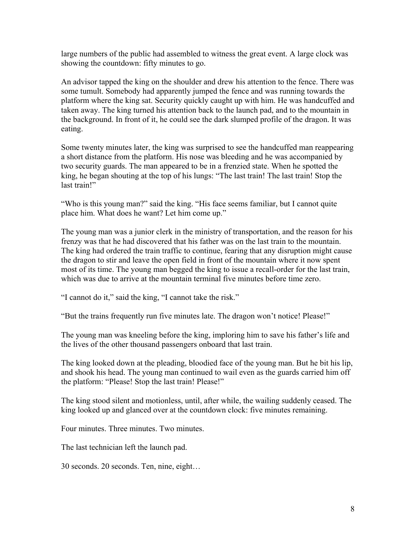large numbers of the public had assembled to witness the great event. A large clock was showing the countdown: fifty minutes to go.

An advisor tapped the king on the shoulder and drew his attention to the fence. There was some tumult. Somebody had apparently jumped the fence and was running towards the platform where the king sat. Security quickly caught up with him. He was handcuffed and taken away. The king turned his attention back to the launch pad, and to the mountain in the background. In front of it, he could see the dark slumped profile of the dragon. It was eating.

Some twenty minutes later, the king was surprised to see the handcuffed man reappearing a short distance from the platform. His nose was bleeding and he was accompanied by two security guards. The man appeared to be in a frenzied state. When he spotted the king, he began shouting at the top of his lungs: "The last train! The last train! Stop the last train!"

"Who is this young man?" said the king. "His face seems familiar, but I cannot quite place him. What does he want? Let him come up."

The young man was a junior clerk in the ministry of transportation, and the reason for his frenzy was that he had discovered that his father was on the last train to the mountain. The king had ordered the train traffic to continue, fearing that any disruption might cause the dragon to stir and leave the open field in front of the mountain where it now spent most of its time. The young man begged the king to issue a recall-order for the last train, which was due to arrive at the mountain terminal five minutes before time zero.

"I cannot do it," said the king, "I cannot take the risk."

"But the trains frequently run five minutes late. The dragon won't notice! Please!"

The young man was kneeling before the king, imploring him to save his father's life and the lives of the other thousand passengers onboard that last train.

The king looked down at the pleading, bloodied face of the young man. But he bit his lip, and shook his head. The young man continued to wail even as the guards carried him off the platform: "Please! Stop the last train! Please!"

The king stood silent and motionless, until, after while, the wailing suddenly ceased. The king looked up and glanced over at the countdown clock: five minutes remaining.

Four minutes. Three minutes. Two minutes.

The last technician left the launch pad.

30 seconds. 20 seconds. Ten, nine, eight…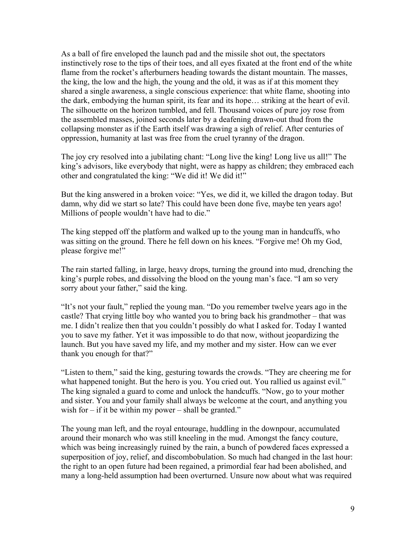As a ball of fire enveloped the launch pad and the missile shot out, the spectators instinctively rose to the tips of their toes, and all eyes fixated at the front end of the white flame from the rocket's afterburners heading towards the distant mountain. The masses, the king, the low and the high, the young and the old, it was as if at this moment they shared a single awareness, a single conscious experience: that white flame, shooting into the dark, embodying the human spirit, its fear and its hope… striking at the heart of evil. The silhouette on the horizon tumbled, and fell. Thousand voices of pure joy rose from the assembled masses, joined seconds later by a deafening drawn-out thud from the collapsing monster as if the Earth itself was drawing a sigh of relief. After centuries of oppression, humanity at last was free from the cruel tyranny of the dragon.

The joy cry resolved into a jubilating chant: "Long live the king! Long live us all!" The king's advisors, like everybody that night, were as happy as children; they embraced each other and congratulated the king: "We did it! We did it!"

But the king answered in a broken voice: "Yes, we did it, we killed the dragon today. But damn, why did we start so late? This could have been done five, maybe ten years ago! Millions of people wouldn't have had to die."

The king stepped off the platform and walked up to the young man in handcuffs, who was sitting on the ground. There he fell down on his knees. "Forgive me! Oh my God, please forgive me!"

The rain started falling, in large, heavy drops, turning the ground into mud, drenching the king's purple robes, and dissolving the blood on the young man's face. "I am so very sorry about your father," said the king.

"It's not your fault," replied the young man. "Do you remember twelve years ago in the castle? That crying little boy who wanted you to bring back his grandmother – that was me. I didn't realize then that you couldn't possibly do what I asked for. Today I wanted you to save my father. Yet it was impossible to do that now, without jeopardizing the launch. But you have saved my life, and my mother and my sister. How can we ever thank you enough for that?"

"Listen to them," said the king, gesturing towards the crowds. "They are cheering me for what happened tonight. But the hero is you. You cried out. You rallied us against evil." The king signaled a guard to come and unlock the handcuffs. "Now, go to your mother and sister. You and your family shall always be welcome at the court, and anything you wish for  $-$  if it be within my power  $-$  shall be granted."

The young man left, and the royal entourage, huddling in the downpour, accumulated around their monarch who was still kneeling in the mud. Amongst the fancy couture, which was being increasingly ruined by the rain, a bunch of powdered faces expressed a superposition of joy, relief, and discombobulation. So much had changed in the last hour: the right to an open future had been regained, a primordial fear had been abolished, and many a long-held assumption had been overturned. Unsure now about what was required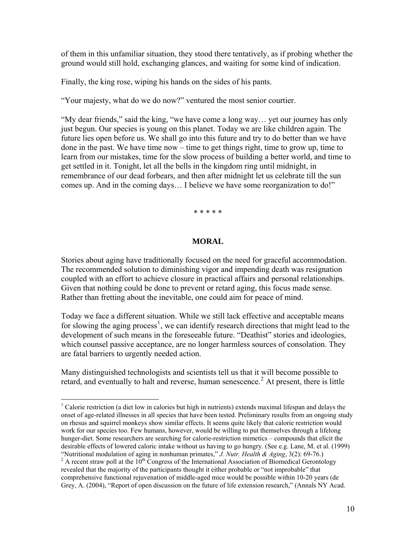of them in this unfamiliar situation, they stood there tentatively, as if probing whether the ground would still hold, exchanging glances, and waiting for some kind of indication.

Finally, the king rose, wiping his hands on the sides of his pants.

"Your majesty, what do we do now?" ventured the most senior courtier.

"My dear friends," said the king, "we have come a long way… yet our journey has only just begun. Our species is young on this planet. Today we are like children again. The future lies open before us. We shall go into this future and try to do better than we have done in the past. We have time now – time to get things right, time to grow up, time to learn from our mistakes, time for the slow process of building a better world, and time to get settled in it. Tonight, let all the bells in the kingdom ring until midnight, in remembrance of our dead forbears, and then after midnight let us celebrate till the sun comes up. And in the coming days… I believe we have some reorganization to do!"

\* \* \* \* \*

## **MORAL**

Stories about aging have traditionally focused on the need for graceful accommodation. The recommended solution to diminishing vigor and impending death was resignation coupled with an effort to achieve closure in practical affairs and personal relationships. Given that nothing could be done to prevent or retard aging, this focus made sense. Rather than fretting about the inevitable, one could aim for peace of mind.

Today we face a different situation. While we still lack effective and acceptable means for slowing the aging process<sup>[1](#page-9-0)</sup>, we can identify research directions that might lead to the development of such means in the foreseeable future. "Deathist" stories and ideologies, which counsel passive acceptance, are no longer harmless sources of consolation. They are fatal barriers to urgently needed action.

Many distinguished technologists and scientists tell us that it will become possible to retard, and eventually to halt and reverse, human senescence.<sup>[2](#page-9-1)</sup> At present, there is little

<span id="page-9-0"></span> $\overline{a}$ <sup>1</sup> Calorie restriction (a diet low in calories but high in nutrients) extends maximal lifespan and delays the onset of age-related illnesses in all species that have been tested. Preliminary results from an ongoing study on rhesus and squirrel monkeys show similar effects. It seems quite likely that calorie restriction would work for our species too. Few humans, however, would be willing to put themselves through a lifelong hunger-diet. Some researchers are searching for calorie-restriction mimetics – compounds that elicit the desirable effects of lowered caloric intake without us having to go hungry. (See e.g. Lane, M. et al. (1999)

<span id="page-9-1"></span><sup>&</sup>quot;Nutritional modulation of aging in nonhuman primates," *J. Nutr. Health & Aging*, 3(2): 69-76.)<br><sup>2</sup> A recent straw poll at the 10<sup>th</sup> Congress of the International Association of Biomedical Gerontology revealed that the majority of the participants thought it either probable or "not improbable" that comprehensive functional rejuvenation of middle-aged mice would be possible within 10-20 years (de Grey, A. (2004), "Report of open discussion on the future of life extension research," (Annals NY Acad.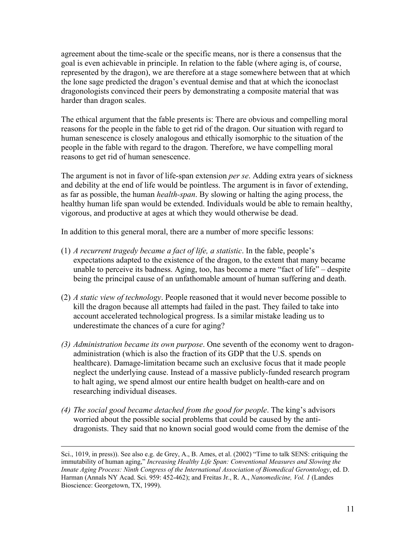agreement about the time-scale or the specific means, nor is there a consensus that the goal is even achievable in principle. In relation to the fable (where aging is, of course, represented by the dragon), we are therefore at a stage somewhere between that at which the lone sage predicted the dragon's eventual demise and that at which the iconoclast dragonologists convinced their peers by demonstrating a composite material that was harder than dragon scales.

The ethical argument that the fable presents is: There are obvious and compelling moral reasons for the people in the fable to get rid of the dragon. Our situation with regard to human senescence is closely analogous and ethically isomorphic to the situation of the people in the fable with regard to the dragon. Therefore, we have compelling moral reasons to get rid of human senescence.

The argument is not in favor of life-span extension *per se*. Adding extra years of sickness and debility at the end of life would be pointless. The argument is in favor of extending, as far as possible, the human *health-span*. By slowing or halting the aging process, the healthy human life span would be extended. Individuals would be able to remain healthy, vigorous, and productive at ages at which they would otherwise be dead.

In addition to this general moral, there are a number of more specific lessons:

- (1) *A recurrent tragedy became a fact of life, a statistic*. In the fable, people's expectations adapted to the existence of the dragon, to the extent that many became unable to perceive its badness. Aging, too, has become a mere "fact of life" – despite being the principal cause of an unfathomable amount of human suffering and death.
- (2) *A static view of technology*. People reasoned that it would never become possible to kill the dragon because all attempts had failed in the past. They failed to take into account accelerated technological progress. Is a similar mistake leading us to underestimate the chances of a cure for aging?
- *(3) Administration became its own purpose*. One seventh of the economy went to dragonadministration (which is also the fraction of its GDP that the U.S. spends on healthcare). Damage-limitation became such an exclusive focus that it made people neglect the underlying cause. Instead of a massive publicly-funded research program to halt aging, we spend almost our entire health budget on health-care and on researching individual diseases.
- *(4) The social good became detached from the good for people*. The king's advisors worried about the possible social problems that could be caused by the antidragonists. They said that no known social good would come from the demise of the

Sci., 1019, in press)). See also e.g. de Grey, A., B. Ames, et al. (2002) "Time to talk SENS: critiquing the immutability of human aging," *Increasing Healthy Life Span: Conventional Measures and Slowing the Innate Aging Process: Ninth Congress of the International Association of Biomedical Gerontology*, ed. D. Harman (Annals NY Acad. Sci. 959: 452-462); and Freitas Jr., R. A., *Nanomedicine, Vol. 1* (Landes Bioscience: Georgetown, TX, 1999).